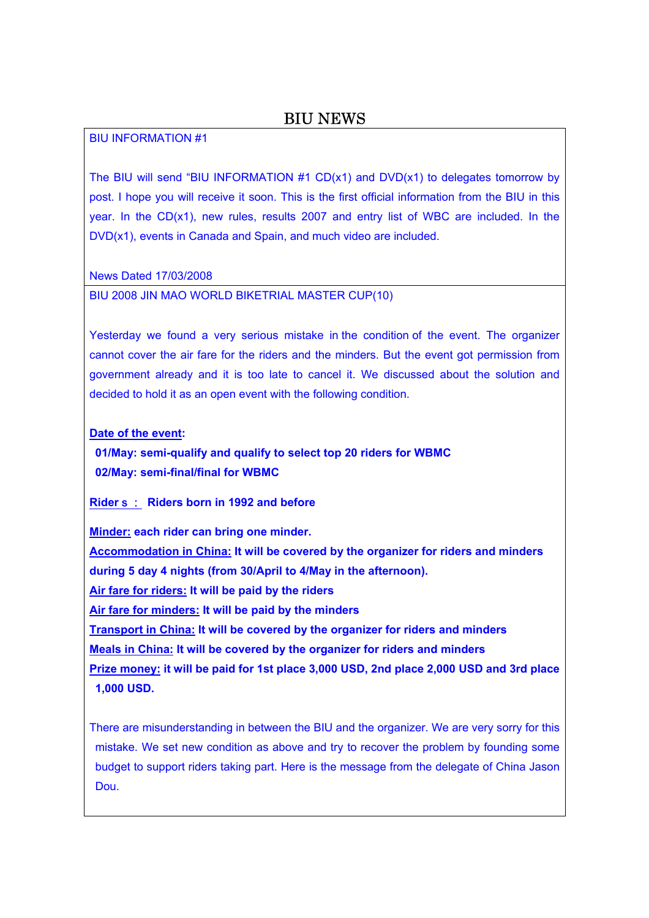BIU INFORMATION #1

The BIU will send "BIU INFORMATION  $#1$  CD(x1) and DVD(x1) to delegates tomorrow by post. I hope you will receive it soon. This is the first official information from the BIU in this year. In the CD(x1), new rules, results 2007 and entry list of WBC are included. In the DVD(x1), events in Canada and Spain, and much video are included.

News Dated 17/03/2008

BIU 2008 JIN MAO WORLD BIKETRIAL MASTER CUP(10)

Yesterday we found a very serious mistake in the condition of the event. The organizer cannot cover the air fare for the riders and the minders. But the event got permission from government already and it is too late to cancel it. We discussed about the solution and decided to hold it as an open event with the following condition.

**Date of the event:** 

**01/May: semi-qualify and qualify to select top 20 riders for WBMC 02/May: semi-final/final for WBMC** 

**Rider**s: **Riders born in 1992 and before** 

**Minder: each rider can bring one minder.** 

**Accommodation in China: It will be covered by the organizer for riders and minders during 5 day 4 nights (from 30/April to 4/May in the afternoon).** 

**Air fare for riders: It will be paid by the riders** 

**Air fare for minders: It will be paid by the minders** 

**Transport in China: It will be covered by the organizer for riders and minders** 

**Meals in China: It will be covered by the organizer for riders and minders** 

**Prize money: it will be paid for 1st place 3,000 USD, 2nd place 2,000 USD and 3rd place 1,000 USD.** 

There are misunderstanding in between the BIU and the organizer. We are very sorry for this mistake. We set new condition as above and try to recover the problem by founding some budget to support riders taking part. Here is the message from the delegate of China Jason Dou.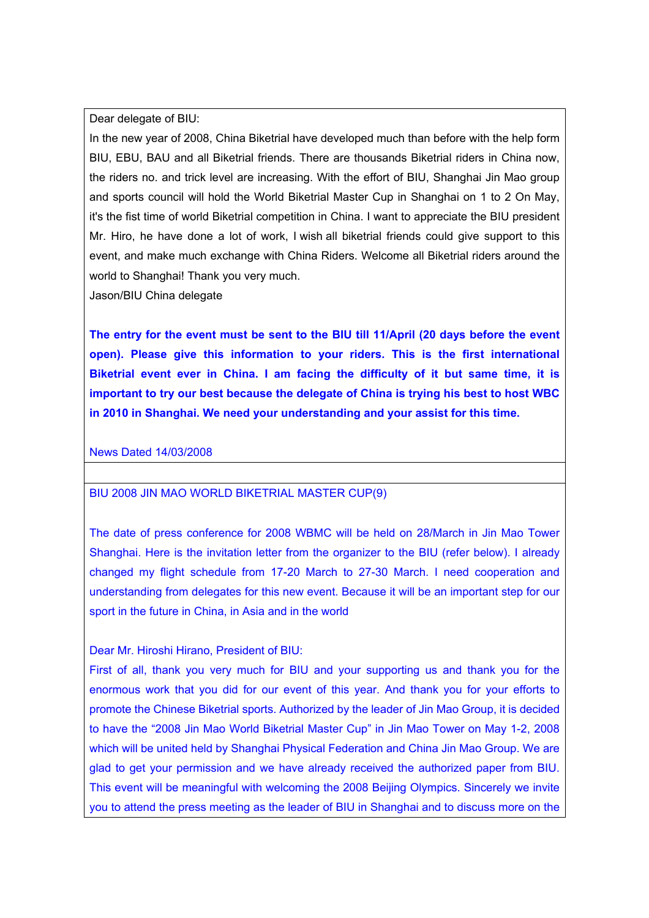Dear delegate of BIU:

In the new year of 2008, China Biketrial have developed much than before with the help form BIU, EBU, BAU and all Biketrial friends. There are thousands Biketrial riders in China now, the riders no. and trick level are increasing. With the effort of BIU, Shanghai Jin Mao group and sports council will hold the World Biketrial Master Cup in Shanghai on 1 to 2 On May, it's the fist time of world Biketrial competition in China. I want to appreciate the BIU president Mr. Hiro, he have done a lot of work, I wish all biketrial friends could give support to this event, and make much exchange with China Riders. Welcome all Biketrial riders around the world to Shanghai! Thank you very much.

Jason/BIU China delegate

**The entry for the event must be sent to the BIU till 11/April (20 days before the event open). Please give this information to your riders. This is the first international Biketrial event ever in China. I am facing the difficulty of it but same time, it is important to try our best because the delegate of China is trying his best to host WBC in 2010 in Shanghai. We need your understanding and your assist for this time.** 

News Dated 14/03/2008

# BIU 2008 JIN MAO WORLD BIKETRIAL MASTER CUP(9)

The date of press conference for 2008 WBMC will be held on 28/March in Jin Mao Tower Shanghai. Here is the invitation letter from the organizer to the BIU (refer below). I already changed my flight schedule from 17-20 March to 27-30 March. I need cooperation and understanding from delegates for this new event. Because it will be an important step for our sport in the future in China, in Asia and in the world

# Dear Mr. Hiroshi Hirano, President of BIU:

First of all, thank you very much for BIU and your supporting us and thank you for the enormous work that you did for our event of this year. And thank you for your efforts to promote the Chinese Biketrial sports. Authorized by the leader of Jin Mao Group, it is decided to have the "2008 Jin Mao World Biketrial Master Cup" in Jin Mao Tower on May 1-2, 2008 which will be united held by Shanghai Physical Federation and China Jin Mao Group. We are glad to get your permission and we have already received the authorized paper from BIU. This event will be meaningful with welcoming the 2008 Beijing Olympics. Sincerely we invite you to attend the press meeting as the leader of BIU in Shanghai and to discuss more on the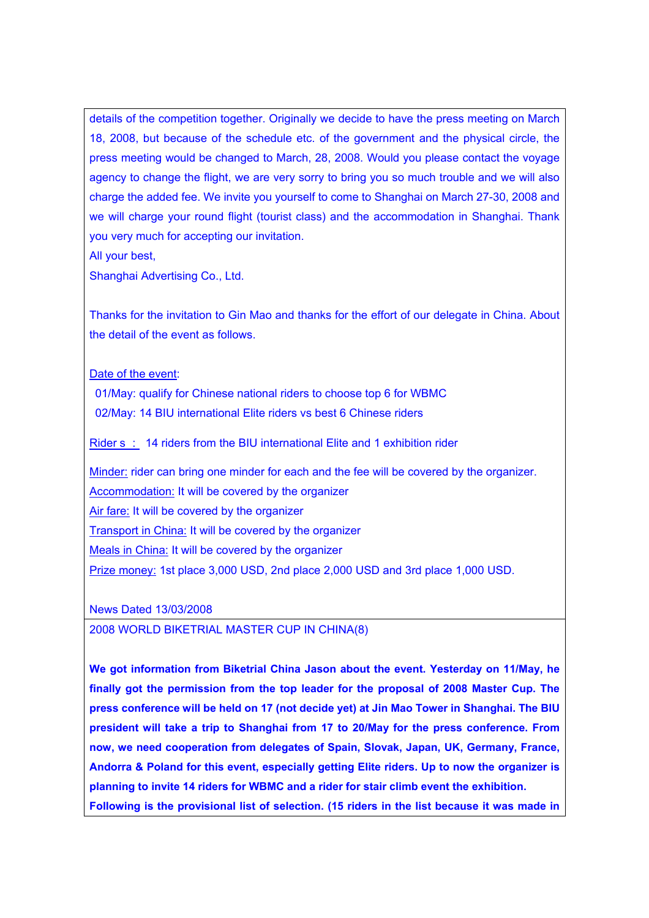details of the competition together. Originally we decide to have the press meeting on March 18, 2008, but because of the schedule etc. of the government and the physical circle, the press meeting would be changed to March, 28, 2008. Would you please contact the voyage agency to change the flight, we are very sorry to bring you so much trouble and we will also charge the added fee. We invite you yourself to come to Shanghai on March 27-30, 2008 and we will charge your round flight (tourist class) and the accommodation in Shanghai. Thank you very much for accepting our invitation.

All your best,

Shanghai Advertising Co., Ltd.

Thanks for the invitation to Gin Mao and thanks for the effort of our delegate in China. About the detail of the event as follows.

## Date of the event:

01/May: qualify for Chinese national riders to choose top 6 for WBMC 02/May: 14 BIU international Elite riders vs best 6 Chinese riders

Riders: 14 riders from the BIU international Elite and 1 exhibition rider

Minder: rider can bring one minder for each and the fee will be covered by the organizer. Accommodation: It will be covered by the organizer Air fare: It will be covered by the organizer Transport in China: It will be covered by the organizer Meals in China: It will be covered by the organizer Prize money: 1st place 3,000 USD, 2nd place 2,000 USD and 3rd place 1,000 USD.

News Dated 13/03/2008

2008 WORLD BIKETRIAL MASTER CUP IN CHINA(8)

**We got information from Biketrial China Jason about the event. Yesterday on 11/May, he finally got the permission from the top leader for the proposal of 2008 Master Cup. The press conference will be held on 17 (not decide yet) at Jin Mao Tower in Shanghai. The BIU president will take a trip to Shanghai from 17 to 20/May for the press conference. From now, we need cooperation from delegates of Spain, Slovak, Japan, UK, Germany, France, Andorra & Poland for this event, especially getting Elite riders. Up to now the organizer is planning to invite 14 riders for WBMC and a rider for stair climb event the exhibition. Following is the provisional list of selection. (15 riders in the list because it was made in**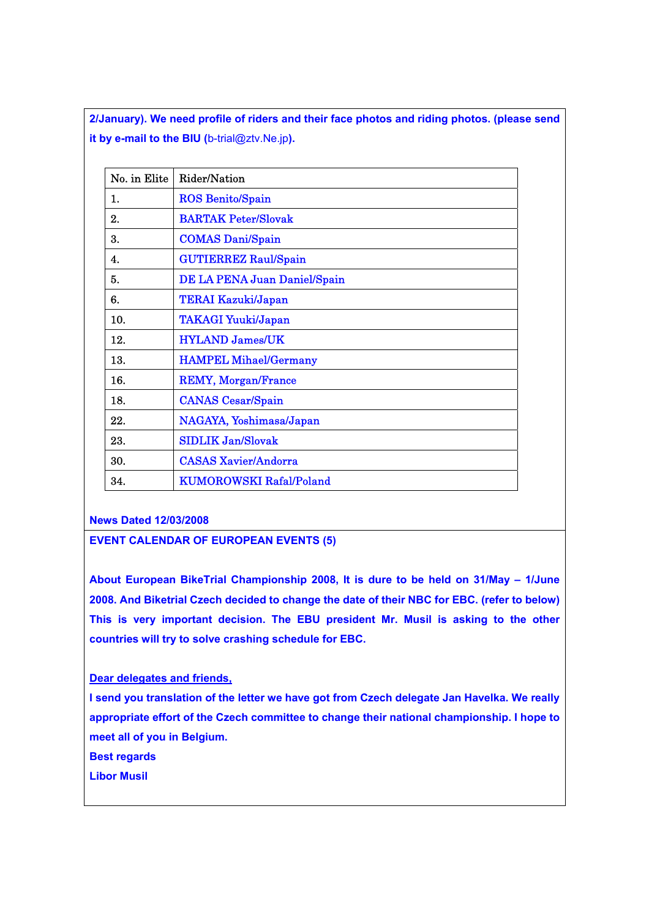**2/January). We need profile of riders and their face photos and riding photos. (please send it by e-mail to the BIU (**b-trial@ztv.Ne.jp**).** 

| No. in Elite | Rider/Nation                   |
|--------------|--------------------------------|
| 1.           | <b>ROS Benito/Spain</b>        |
| 2.           | <b>BARTAK Peter/Slovak</b>     |
| 3.           | <b>COMAS Dani/Spain</b>        |
| 4.           | <b>GUTIERREZ Raul/Spain</b>    |
| 5.           | DE LA PENA Juan Daniel/Spain   |
| 6.           | <b>TERAI Kazuki/Japan</b>      |
| 10.          | <b>TAKAGI Yuuki/Japan</b>      |
| 12.          | <b>HYLAND James/UK</b>         |
| 13.          | <b>HAMPEL Mihael/Germany</b>   |
| 16.          | <b>REMY, Morgan/France</b>     |
| 18.          | <b>CANAS</b> Cesar/Spain       |
| 22.          | NAGAYA, Yoshimasa/Japan        |
| 23.          | <b>SIDLIK Jan/Slovak</b>       |
| 30.          | <b>CASAS Xavier/Andorra</b>    |
| 34.          | <b>KUMOROWSKI Rafal/Poland</b> |

**News Dated 12/03/2008** 

**EVENT CALENDAR OF EUROPEAN EVENTS (5)** 

**About European BikeTrial Championship 2008, It is dure to be held on 31/May – 1/June 2008. And Biketrial Czech decided to change the date of their NBC for EBC. (refer to below) This is very important decision. The EBU president Mr. Musil is asking to the other countries will try to solve crashing schedule for EBC.** 

**Dear delegates and friends,**

**I send you translation of the letter we have got from Czech delegate Jan Havelka. We really appropriate effort of the Czech committee to change their national championship. I hope to meet all of you in Belgium.** 

**Best regards** 

**Libor Musil**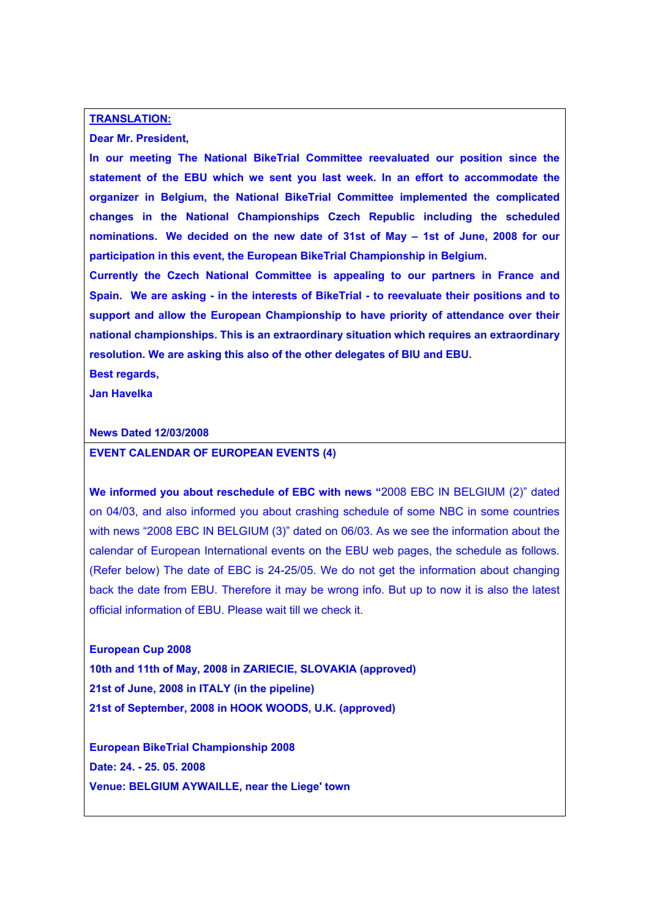#### **TRANSLATION:**

### **Dear Mr. President,**

**In our meeting The National BikeTrial Committee reevaluated our position since the statement of the EBU which we sent you last week. In an effort to accommodate the organizer in Belgium, the National BikeTrial Committee implemented the complicated changes in the National Championships Czech Republic including the scheduled nominations. We decided on the new date of 31st of May – 1st of June, 2008 for our participation in this event, the European BikeTrial Championship in Belgium.** 

**Currently the Czech National Committee is appealing to our partners in France and Spain. We are asking - in the interests of BikeTrial - to reevaluate their positions and to support and allow the European Championship to have priority of attendance over their national championships. This is an extraordinary situation which requires an extraordinary resolution. We are asking this also of the other delegates of BIU and EBU.** 

**Best regards,** 

**Jan Havelka** 

### **News Dated 12/03/2008**

### **EVENT CALENDAR OF EUROPEAN EVENTS (4)**

**We informed you about reschedule of EBC with news "**2008 EBC IN BELGIUM (2)" dated on 04/03, and also informed you about crashing schedule of some NBC in some countries with news "2008 EBC IN BELGIUM (3)" dated on 06/03. As we see the information about the calendar of European International events on the EBU web pages, the schedule as follows. (Refer below) The date of EBC is 24-25/05. We do not get the information about changing back the date from EBU. Therefore it may be wrong info. But up to now it is also the latest official information of EBU. Please wait till we check it.

**European Cup 2008 10th and 11th of May, 2008 in ZARIECIE, SLOVAKIA (approved) 21st of June, 2008 in ITALY (in the pipeline) 21st of September, 2008 in HOOK WOODS, U.K. (approved)** 

**European BikeTrial Championship 2008 Date: 24. - 25. 05. 2008 Venue: BELGIUM AYWAILLE, near the Liege' town**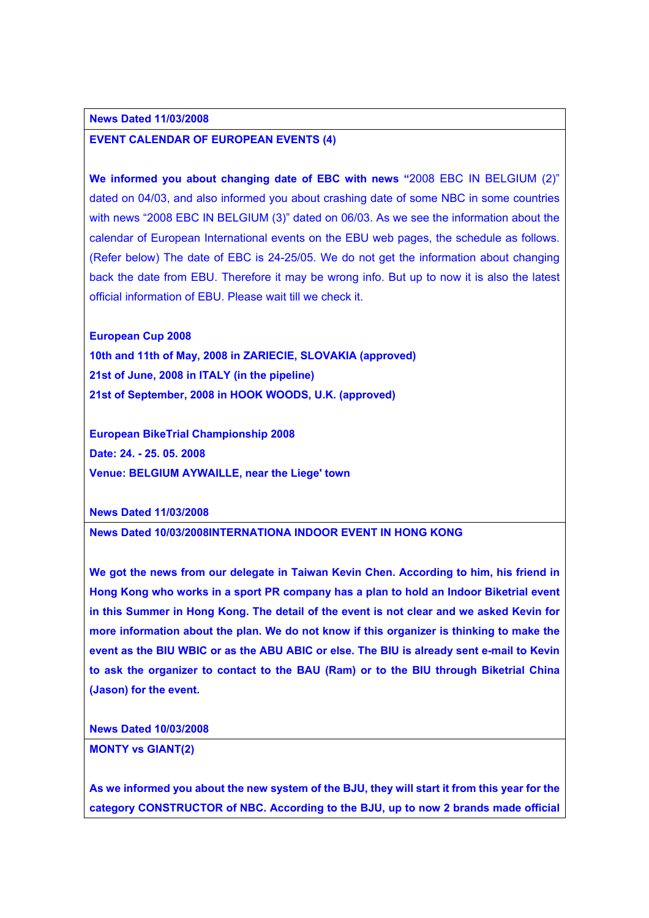## **News Dated 11/03/2008**

## **EVENT CALENDAR OF EUROPEAN EVENTS (4)**

**We informed you about changing date of EBC with news "**2008 EBC IN BELGIUM (2)" dated on 04/03, and also informed you about crashing date of some NBC in some countries with news "2008 EBC IN BELGIUM (3)" dated on 06/03. As we see the information about the calendar of European International events on the EBU web pages, the schedule as follows. (Refer below) The date of EBC is 24-25/05. We do not get the information about changing back the date from EBU. Therefore it may be wrong info. But up to now it is also the latest official information of EBU. Please wait till we check it.

**European Cup 2008** 

**10th and 11th of May, 2008 in ZARIECIE, SLOVAKIA (approved) 21st of June, 2008 in ITALY (in the pipeline) 21st of September, 2008 in HOOK WOODS, U.K. (approved)** 

**European BikeTrial Championship 2008 Date: 24. - 25. 05. 2008 Venue: BELGIUM AYWAILLE, near the Liege' town** 

**News Dated 11/03/2008** 

**News Dated 10/03/2008INTERNATIONA INDOOR EVENT IN HONG KONG** 

**We got the news from our delegate in Taiwan Kevin Chen. According to him, his friend in Hong Kong who works in a sport PR company has a plan to hold an Indoor Biketrial event in this Summer in Hong Kong. The detail of the event is not clear and we asked Kevin for more information about the plan. We do not know if this organizer is thinking to make the event as the BIU WBIC or as the ABU ABIC or else. The BIU is already sent e-mail to Kevin to ask the organizer to contact to the BAU (Ram) or to the BIU through Biketrial China (Jason) for the event.** 

**News Dated 10/03/2008** 

**MONTY vs GIANT(2)** 

**As we informed you about the new system of the BJU, they will start it from this year for the category CONSTRUCTOR of NBC. According to the BJU, up to now 2 brands made official**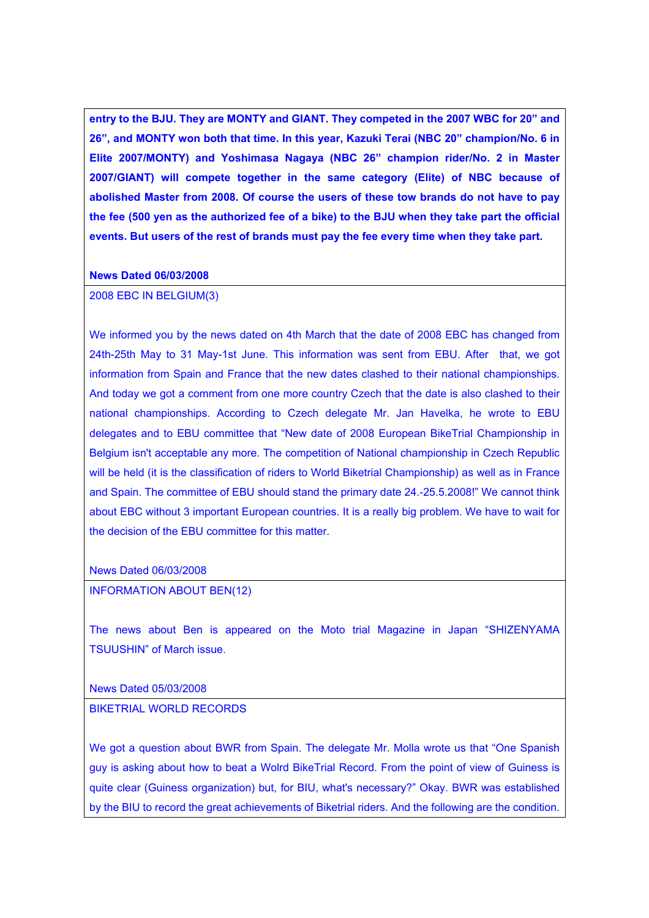**entry to the BJU. They are MONTY and GIANT. They competed in the 2007 WBC for 20" and 26", and MONTY won both that time. In this year, Kazuki Terai (NBC 20" champion/No. 6 in Elite 2007/MONTY) and Yoshimasa Nagaya (NBC 26" champion rider/No. 2 in Master 2007/GIANT) will compete together in the same category (Elite) of NBC because of abolished Master from 2008. Of course the users of these tow brands do not have to pay the fee (500 yen as the authorized fee of a bike) to the BJU when they take part the official events. But users of the rest of brands must pay the fee every time when they take part.** 

#### **News Dated 06/03/2008**

## 2008 EBC IN BELGIUM(3)

We informed you by the news dated on 4th March that the date of 2008 EBC has changed from 24th-25th May to 31 May-1st June. This information was sent from EBU. After that, we got information from Spain and France that the new dates clashed to their national championships. And today we got a comment from one more country Czech that the date is also clashed to their national championships. According to Czech delegate Mr. Jan Havelka, he wrote to EBU delegates and to EBU committee that "New date of 2008 European BikeTrial Championship in Belgium isn't acceptable any more. The competition of National championship in Czech Republic will be held (it is the classification of riders to World Biketrial Championship) as well as in France and Spain. The committee of EBU should stand the primary date 24.-25.5.2008!" We cannot think about EBC without 3 important European countries. It is a really big problem. We have to wait for the decision of the EBU committee for this matter.

News Dated 06/03/2008

INFORMATION ABOUT BEN(12)

The news about Ben is appeared on the Moto trial Magazine in Japan "SHIZENYAMA TSUUSHIN" of March issue.

News Dated 05/03/2008

BIKETRIAL WORLD RECORDS

We got a question about BWR from Spain. The delegate Mr. Molla wrote us that "One Spanish guy is asking about how to beat a Wolrd BikeTrial Record. From the point of view of Guiness is quite clear (Guiness organization) but, for BIU, what's necessary?" Okay. BWR was established by the BIU to record the great achievements of Biketrial riders. And the following are the condition.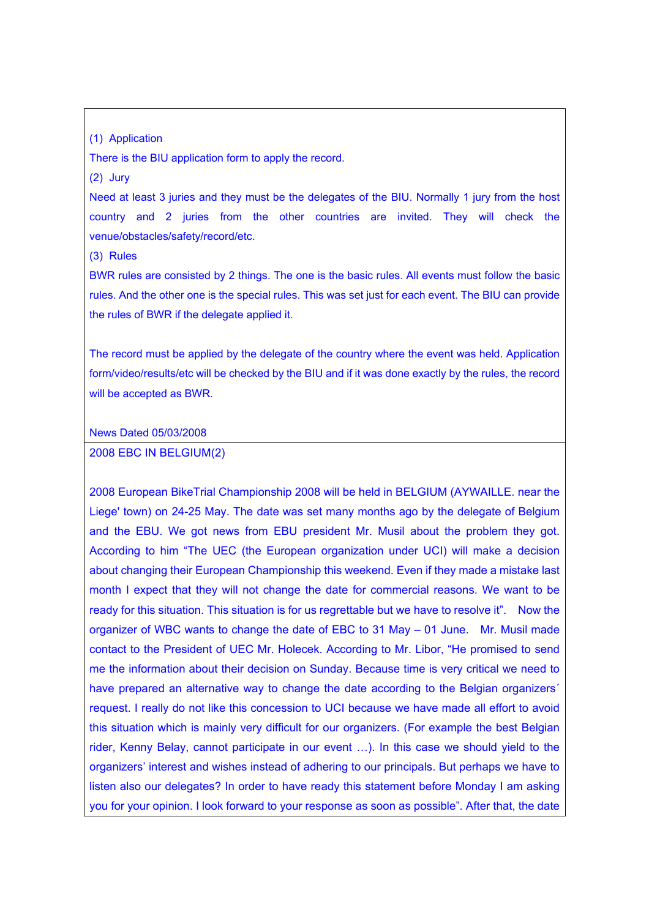## (1) Application

There is the BIU application form to apply the record.

(2) Jury

Need at least 3 juries and they must be the delegates of the BIU. Normally 1 jury from the host country and 2 juries from the other countries are invited. They will check the venue/obstacles/safety/record/etc.

(3) Rules

BWR rules are consisted by 2 things. The one is the basic rules. All events must follow the basic rules. And the other one is the special rules. This was set just for each event. The BIU can provide the rules of BWR if the delegate applied it.

The record must be applied by the delegate of the country where the event was held. Application form/video/results/etc will be checked by the BIU and if it was done exactly by the rules, the record will be accepted as BWR.

News Dated 05/03/2008

### 2008 EBC IN BELGIUM(2)

2008 European BikeTrial Championship 2008 will be held in BELGIUM (AYWAILLE. near the Liege' town) on 24-25 May. The date was set many months ago by the delegate of Belgium and the EBU. We got news from EBU president Mr. Musil about the problem they got. According to him "The UEC (the European organization under UCI) will make a decision about changing their European Championship this weekend. Even if they made a mistake last month I expect that they will not change the date for commercial reasons. We want to be ready for this situation. This situation is for us regrettable but we have to resolve it". Now the organizer of WBC wants to change the date of EBC to 31 May – 01 June. Mr. Musil made contact to the President of UEC Mr. Holecek. According to Mr. Libor, "He promised to send me the information about their decision on Sunday. Because time is very critical we need to have prepared an alternative way to change the date according to the Belgian organizers<sup>\*</sup> request. I really do not like this concession to UCI because we have made all effort to avoid this situation which is mainly very difficult for our organizers. (For example the best Belgian rider, Kenny Belay, cannot participate in our event …). In this case we should yield to the organizers' interest and wishes instead of adhering to our principals. But perhaps we have to listen also our delegates? In order to have ready this statement before Monday I am asking you for your opinion. I look forward to your response as soon as possible". After that, the date